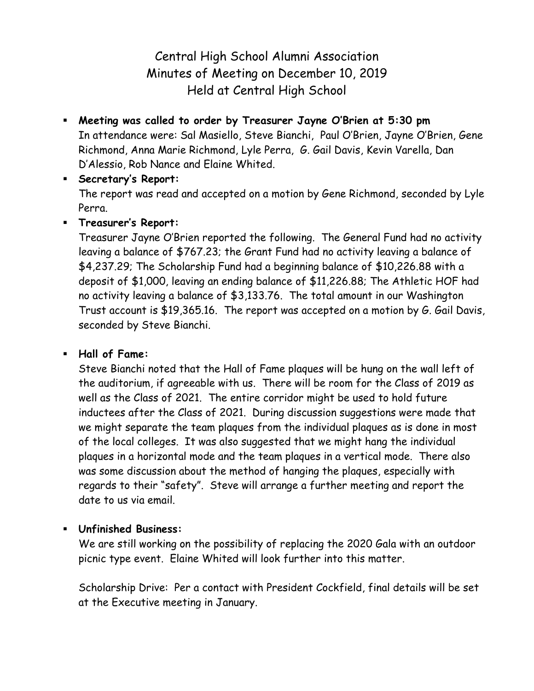Central High School Alumni Association Minutes of Meeting on December 10, 2019 Held at Central High School

- **Meeting was called to order by Treasurer Jayne O'Brien at 5:30 pm** In attendance were: Sal Masiello, Steve Bianchi, Paul O'Brien, Jayne O'Brien, Gene Richmond, Anna Marie Richmond, Lyle Perra, G. Gail Davis, Kevin Varella, Dan D'Alessio, Rob Nance and Elaine Whited.
- **Secretary's Report:** The report was read and accepted on a motion by Gene Richmond, seconded by Lyle Perra.

**Treasurer's Report:**

Treasurer Jayne O'Brien reported the following. The General Fund had no activity leaving a balance of \$767.23; the Grant Fund had no activity leaving a balance of \$4,237.29; The Scholarship Fund had a beginning balance of \$10,226.88 with a deposit of \$1,000, leaving an ending balance of \$11,226.88; The Athletic HOF had no activity leaving a balance of \$3,133.76. The total amount in our Washington Trust account is \$19,365.16. The report was accepted on a motion by G. Gail Davis, seconded by Steve Bianchi.

## **Hall of Fame:**

Steve Bianchi noted that the Hall of Fame plaques will be hung on the wall left of the auditorium, if agreeable with us. There will be room for the Class of 2019 as well as the Class of 2021. The entire corridor might be used to hold future inductees after the Class of 2021. During discussion suggestions were made that we might separate the team plaques from the individual plaques as is done in most of the local colleges. It was also suggested that we might hang the individual plaques in a horizontal mode and the team plaques in a vertical mode. There also was some discussion about the method of hanging the plaques, especially with regards to their "safety". Steve will arrange a further meeting and report the date to us via email.

## **Unfinished Business:**

We are still working on the possibility of replacing the 2020 Gala with an outdoor picnic type event. Elaine Whited will look further into this matter.

Scholarship Drive: Per a contact with President Cockfield, final details will be set at the Executive meeting in January.